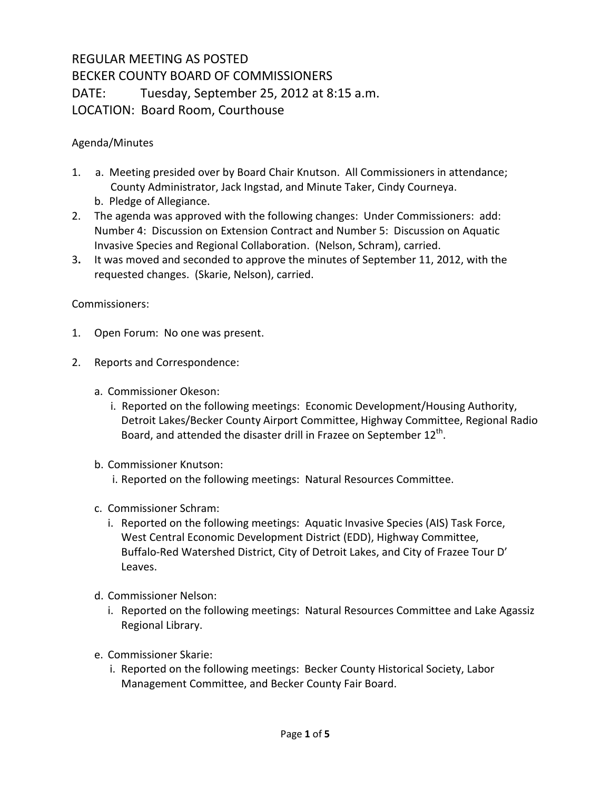## REGULAR MEETING AS POSTED BECKER COUNTY BOARD OF COMMISSIONERS DATE: Tuesday, September 25, 2012 at 8:15 a.m. LOCATION: Board Room, Courthouse

## Agenda/Minutes

- 1. a. Meeting presided over by Board Chair Knutson. All Commissioners in attendance; County Administrator, Jack Ingstad, and Minute Taker, Cindy Courneya. b. Pledge of Allegiance.
- 2. The agenda was approved with the following changes: Under Commissioners: add: Number 4: Discussion on Extension Contract and Number 5: Discussion on Aquatic Invasive Species and Regional Collaboration. (Nelson, Schram), carried.
- 3**.** It was moved and seconded to approve the minutes of September 11, 2012, with the requested changes. (Skarie, Nelson), carried.

## Commissioners:

- 1. Open Forum: No one was present.
- 2. Reports and Correspondence:
	- a. Commissioner Okeson:
		- i. Reported on the following meetings: Economic Development/Housing Authority, Detroit Lakes/Becker County Airport Committee, Highway Committee, Regional Radio Board, and attended the disaster drill in Frazee on September  $12<sup>th</sup>$ .
	- b. Commissioner Knutson:
		- i. Reported on the following meetings: Natural Resources Committee.
	- c. Commissioner Schram:
		- i. Reported on the following meetings: Aquatic Invasive Species (AIS) Task Force, West Central Economic Development District (EDD), Highway Committee, Buffalo-Red Watershed District, City of Detroit Lakes, and City of Frazee Tour D' Leaves.
	- d. Commissioner Nelson:
		- i. Reported on the following meetings: Natural Resources Committee and Lake Agassiz Regional Library.
	- e. Commissioner Skarie:
		- i. Reported on the following meetings: Becker County Historical Society, Labor Management Committee, and Becker County Fair Board.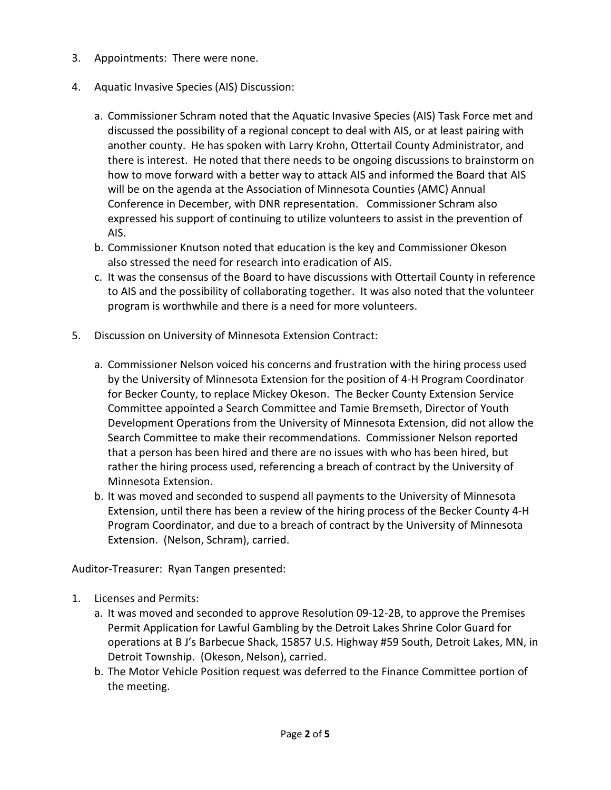- 3. Appointments: There were none.
- 4. Aquatic Invasive Species (AIS) Discussion:
	- a. Commissioner Schram noted that the Aquatic Invasive Species (AIS) Task Force met and discussed the possibility of a regional concept to deal with AIS, or at least pairing with another county. He has spoken with Larry Krohn, Ottertail County Administrator, and there is interest. He noted that there needs to be ongoing discussions to brainstorm on how to move forward with a better way to attack AIS and informed the Board that AIS will be on the agenda at the Association of Minnesota Counties (AMC) Annual Conference in December, with DNR representation. Commissioner Schram also expressed his support of continuing to utilize volunteers to assist in the prevention of AIS.
	- b. Commissioner Knutson noted that education is the key and Commissioner Okeson also stressed the need for research into eradication of AIS.
	- c. It was the consensus of the Board to have discussions with Ottertail County in reference to AIS and the possibility of collaborating together. It was also noted that the volunteer program is worthwhile and there is a need for more volunteers.
- 5. Discussion on University of Minnesota Extension Contract:
	- a. Commissioner Nelson voiced his concerns and frustration with the hiring process used by the University of Minnesota Extension for the position of 4-H Program Coordinator for Becker County, to replace Mickey Okeson. The Becker County Extension Service Committee appointed a Search Committee and Tamie Bremseth, Director of Youth Development Operations from the University of Minnesota Extension, did not allow the Search Committee to make their recommendations. Commissioner Nelson reported that a person has been hired and there are no issues with who has been hired, but rather the hiring process used, referencing a breach of contract by the University of Minnesota Extension.
	- b. It was moved and seconded to suspend all payments to the University of Minnesota Extension, until there has been a review of the hiring process of the Becker County 4-H Program Coordinator, and due to a breach of contract by the University of Minnesota Extension. (Nelson, Schram), carried.

Auditor-Treasurer: Ryan Tangen presented:

- 1. Licenses and Permits:
	- a. It was moved and seconded to approve Resolution 09-12-2B, to approve the Premises Permit Application for Lawful Gambling by the Detroit Lakes Shrine Color Guard for operations at B J's Barbecue Shack, 15857 U.S. Highway #59 South, Detroit Lakes, MN, in Detroit Township. (Okeson, Nelson), carried.
	- b. The Motor Vehicle Position request was deferred to the Finance Committee portion of the meeting.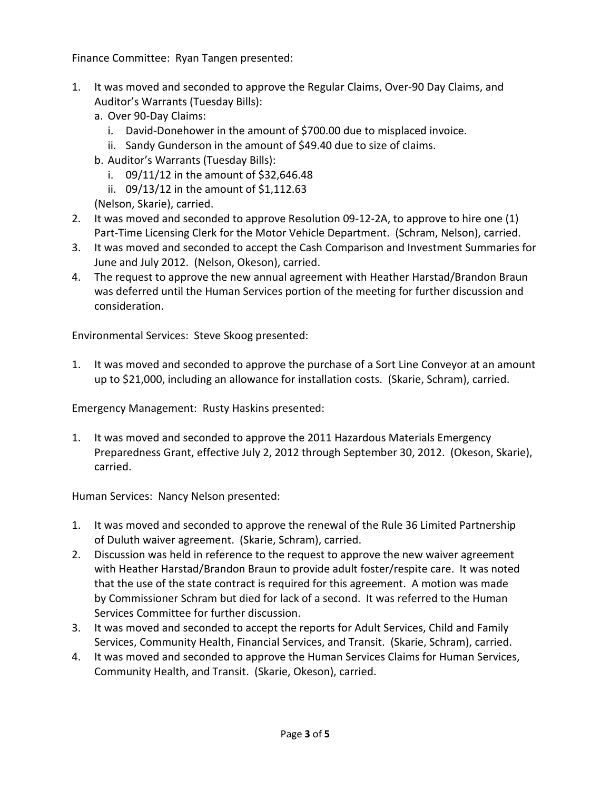Finance Committee: Ryan Tangen presented:

- 1. It was moved and seconded to approve the Regular Claims, Over-90 Day Claims, and Auditor's Warrants (Tuesday Bills):
	- a. Over 90-Day Claims:
		- i. David-Donehower in the amount of \$700.00 due to misplaced invoice.
		- ii. Sandy Gunderson in the amount of \$49.40 due to size of claims.
	- b. Auditor's Warrants (Tuesday Bills):
		- i. 09/11/12 in the amount of \$32,646.48
		- ii. 09/13/12 in the amount of \$1,112.63
	- (Nelson, Skarie), carried.
- 2. It was moved and seconded to approve Resolution 09-12-2A, to approve to hire one (1) Part-Time Licensing Clerk for the Motor Vehicle Department. (Schram, Nelson), carried.
- 3. It was moved and seconded to accept the Cash Comparison and Investment Summaries for June and July 2012. (Nelson, Okeson), carried.
- 4. The request to approve the new annual agreement with Heather Harstad/Brandon Braun was deferred until the Human Services portion of the meeting for further discussion and consideration.

Environmental Services: Steve Skoog presented:

1. It was moved and seconded to approve the purchase of a Sort Line Conveyor at an amount up to \$21,000, including an allowance for installation costs. (Skarie, Schram), carried.

Emergency Management: Rusty Haskins presented:

1. It was moved and seconded to approve the 2011 Hazardous Materials Emergency Preparedness Grant, effective July 2, 2012 through September 30, 2012. (Okeson, Skarie), carried.

Human Services: Nancy Nelson presented:

- 1. It was moved and seconded to approve the renewal of the Rule 36 Limited Partnership of Duluth waiver agreement. (Skarie, Schram), carried.
- 2. Discussion was held in reference to the request to approve the new waiver agreement with Heather Harstad/Brandon Braun to provide adult foster/respite care. It was noted that the use of the state contract is required for this agreement. A motion was made by Commissioner Schram but died for lack of a second. It was referred to the Human Services Committee for further discussion.
- 3. It was moved and seconded to accept the reports for Adult Services, Child and Family Services, Community Health, Financial Services, and Transit. (Skarie, Schram), carried.
- 4. It was moved and seconded to approve the Human Services Claims for Human Services, Community Health, and Transit. (Skarie, Okeson), carried.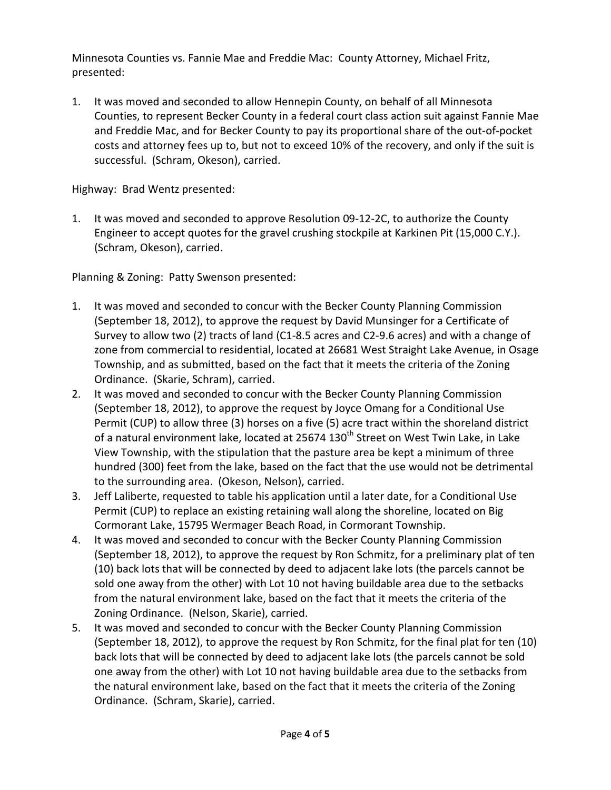Minnesota Counties vs. Fannie Mae and Freddie Mac: County Attorney, Michael Fritz, presented:

1. It was moved and seconded to allow Hennepin County, on behalf of all Minnesota Counties, to represent Becker County in a federal court class action suit against Fannie Mae and Freddie Mac, and for Becker County to pay its proportional share of the out-of-pocket costs and attorney fees up to, but not to exceed 10% of the recovery, and only if the suit is successful. (Schram, Okeson), carried.

Highway: Brad Wentz presented:

1. It was moved and seconded to approve Resolution 09-12-2C, to authorize the County Engineer to accept quotes for the gravel crushing stockpile at Karkinen Pit (15,000 C.Y.). (Schram, Okeson), carried.

Planning & Zoning: Patty Swenson presented:

- 1. It was moved and seconded to concur with the Becker County Planning Commission (September 18, 2012), to approve the request by David Munsinger for a Certificate of Survey to allow two (2) tracts of land (C1-8.5 acres and C2-9.6 acres) and with a change of zone from commercial to residential, located at 26681 West Straight Lake Avenue, in Osage Township, and as submitted, based on the fact that it meets the criteria of the Zoning Ordinance. (Skarie, Schram), carried.
- 2. It was moved and seconded to concur with the Becker County Planning Commission (September 18, 2012), to approve the request by Joyce Omang for a Conditional Use Permit (CUP) to allow three (3) horses on a five (5) acre tract within the shoreland district of a natural environment lake, located at 25674 130<sup>th</sup> Street on West Twin Lake, in Lake View Township, with the stipulation that the pasture area be kept a minimum of three hundred (300) feet from the lake, based on the fact that the use would not be detrimental to the surrounding area. (Okeson, Nelson), carried.
- 3. Jeff Laliberte, requested to table his application until a later date, for a Conditional Use Permit (CUP) to replace an existing retaining wall along the shoreline, located on Big Cormorant Lake, 15795 Wermager Beach Road, in Cormorant Township.
- 4. It was moved and seconded to concur with the Becker County Planning Commission (September 18, 2012), to approve the request by Ron Schmitz, for a preliminary plat of ten (10) back lots that will be connected by deed to adjacent lake lots (the parcels cannot be sold one away from the other) with Lot 10 not having buildable area due to the setbacks from the natural environment lake, based on the fact that it meets the criteria of the Zoning Ordinance. (Nelson, Skarie), carried.
- 5. It was moved and seconded to concur with the Becker County Planning Commission (September 18, 2012), to approve the request by Ron Schmitz, for the final plat for ten (10) back lots that will be connected by deed to adjacent lake lots (the parcels cannot be sold one away from the other) with Lot 10 not having buildable area due to the setbacks from the natural environment lake, based on the fact that it meets the criteria of the Zoning Ordinance. (Schram, Skarie), carried.